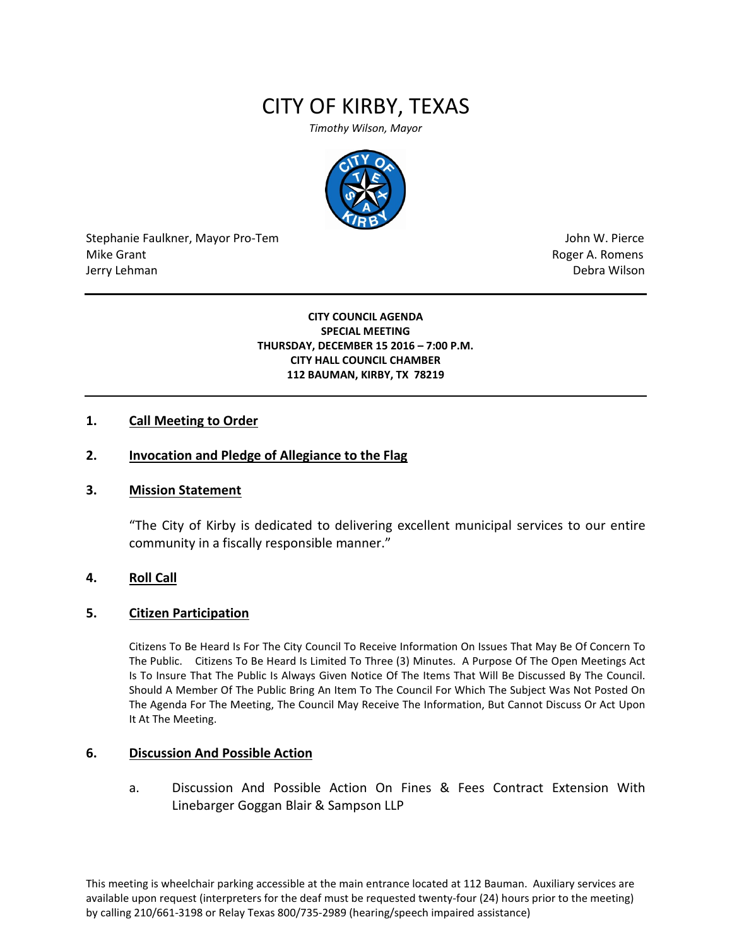# CITY OF KIRBY, TEXAS

*Timothy Wilson, Mayor*



Stephanie Faulkner, Mayor Pro-Tem John W. Pierce Mike Grant **Mike Grant** Roger A. Romens **Contract A. Romens Roger A. Romens** Jerry Lehman Debra Wilson (2008) and the state of the state of the state of the state of the state of the state of the state of the state of the state of the state of the state of the state of the state of the state of the

**CITY COUNCIL AGENDA SPECIAL MEETING THURSDAY, DECEMBER 15 2016 – 7:00 P.M. CITY HALL COUNCIL CHAMBER 112 BAUMAN, KIRBY, TX 78219**

### **1. Call Meeting to Order**

# **2. Invocation and Pledge of Allegiance to the Flag**

#### **3. Mission Statement**

"The City of Kirby is dedicated to delivering excellent municipal services to our entire community in a fiscally responsible manner."

#### **4. Roll Call**

#### **5. Citizen Participation**

Citizens To Be Heard Is For The City Council To Receive Information On Issues That May Be Of Concern To The Public. Citizens To Be Heard Is Limited To Three (3) Minutes. A Purpose Of The Open Meetings Act Is To Insure That The Public Is Always Given Notice Of The Items That Will Be Discussed By The Council. Should A Member Of The Public Bring An Item To The Council For Which The Subject Was Not Posted On The Agenda For The Meeting, The Council May Receive The Information, But Cannot Discuss Or Act Upon It At The Meeting.

#### **6. Discussion And Possible Action**

a. Discussion And Possible Action On Fines & Fees Contract Extension With Linebarger Goggan Blair & Sampson LLP

This meeting is wheelchair parking accessible at the main entrance located at 112 Bauman. Auxiliary services are available upon request (interpreters for the deaf must be requested twenty-four (24) hours prior to the meeting) by calling 210/661-3198 or Relay Texas 800/735-2989 (hearing/speech impaired assistance)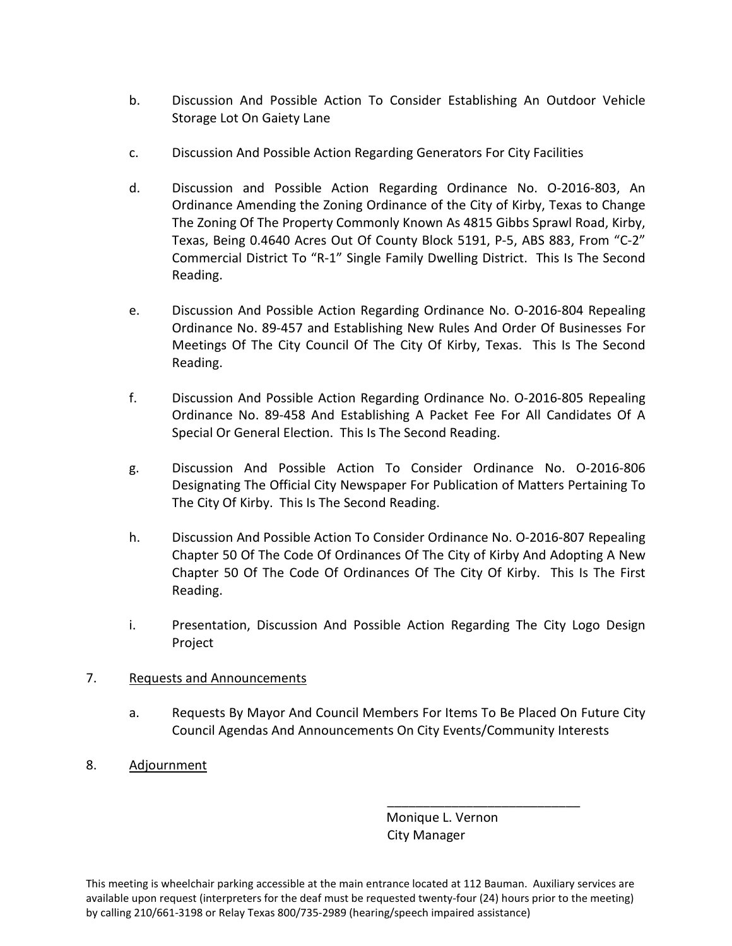- b. Discussion And Possible Action To Consider Establishing An Outdoor Vehicle Storage Lot On Gaiety Lane
- c. Discussion And Possible Action Regarding Generators For City Facilities
- d. Discussion and Possible Action Regarding Ordinance No. O-2016-803, An Ordinance Amending the Zoning Ordinance of the City of Kirby, Texas to Change The Zoning Of The Property Commonly Known As 4815 Gibbs Sprawl Road, Kirby, Texas, Being 0.4640 Acres Out Of County Block 5191, P-5, ABS 883, From "C-2" Commercial District To "R-1" Single Family Dwelling District. This Is The Second Reading.
- e. Discussion And Possible Action Regarding Ordinance No. O-2016-804 Repealing Ordinance No. 89-457 and Establishing New Rules And Order Of Businesses For Meetings Of The City Council Of The City Of Kirby, Texas. This Is The Second Reading.
- f. Discussion And Possible Action Regarding Ordinance No. O-2016-805 Repealing Ordinance No. 89-458 And Establishing A Packet Fee For All Candidates Of A Special Or General Election. This Is The Second Reading.
- g. Discussion And Possible Action To Consider Ordinance No. O-2016-806 Designating The Official City Newspaper For Publication of Matters Pertaining To The City Of Kirby. This Is The Second Reading.
- h. Discussion And Possible Action To Consider Ordinance No. O-2016-807 Repealing Chapter 50 Of The Code Of Ordinances Of The City of Kirby And Adopting A New Chapter 50 Of The Code Of Ordinances Of The City Of Kirby. This Is The First Reading.
- i. Presentation, Discussion And Possible Action Regarding The City Logo Design Project

# 7. Requests and Announcements

- a. Requests By Mayor And Council Members For Items To Be Placed On Future City Council Agendas And Announcements On City Events/Community Interests
- 8. Adjournment

 Monique L. Vernon City Manager

\_\_\_\_\_\_\_\_\_\_\_\_\_\_\_\_\_\_\_\_\_\_\_\_\_\_\_

This meeting is wheelchair parking accessible at the main entrance located at 112 Bauman. Auxiliary services are available upon request (interpreters for the deaf must be requested twenty-four (24) hours prior to the meeting) by calling 210/661-3198 or Relay Texas 800/735-2989 (hearing/speech impaired assistance)